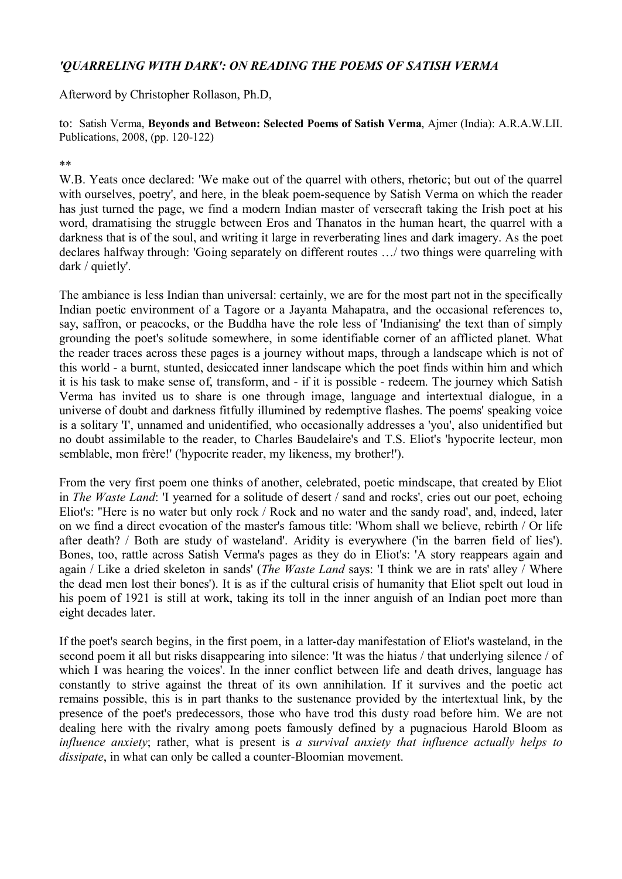## *'QUARRELING WITH DARK': ON READING THE POEMS OF SATISH VERMA*

Afterword by Christopher Rollason, Ph.D,

to: Satish Verma, **Beyonds and Betweon: Selected Poems of Satish Verma**, Ajmer (India): A.R.A.W.LII. Publications, 2008, (pp. 120-122)

## \*\*

W.B. Yeats once declared: 'We make out of the quarrel with others, rhetoric; but out of the quarrel with ourselves, poetry', and here, in the bleak poem-sequence by Satish Verma on which the reader has just turned the page, we find a modern Indian master of versecraft taking the Irish poet at his word, dramatising the struggle between Eros and Thanatos in the human heart, the quarrel with a darkness that is of the soul, and writing it large in reverberating lines and dark imagery. As the poet declares halfway through: 'Going separately on different routes …/ two things were quarreling with dark / quietly'.

The ambiance is less Indian than universal: certainly, we are for the most part not in the specifically Indian poetic environment of a Tagore or a Jayanta Mahapatra, and the occasional references to, say, saffron, or peacocks, or the Buddha have the role less of 'Indianising' the text than of simply grounding the poet's solitude somewhere, in some identifiable corner of an afflicted planet. What the reader traces across these pages is a journey without maps, through a landscape which is not of this world - a burnt, stunted, desiccated inner landscape which the poet finds within him and which it is his task to make sense of, transform, and - if it is possible - redeem. The journey which Satish Verma has invited us to share is one through image, language and intertextual dialogue, in a universe of doubt and darkness fitfully illumined by redemptive flashes. The poems' speaking voice is a solitary 'I', unnamed and unidentified, who occasionally addresses a 'you', also unidentified but no doubt assimilable to the reader, to Charles Baudelaire's and T.S. Eliot's 'hypocrite lecteur, mon semblable, mon frère!' ('hypocrite reader, my likeness, my brother!').

From the very first poem one thinks of another, celebrated, poetic mindscape, that created by Eliot in *The Waste Land*: 'I yearned for a solitude of desert / sand and rocks', cries out our poet, echoing Eliot's: ''Here is no water but only rock / Rock and no water and the sandy road', and, indeed, later on we find a direct evocation of the master's famous title: 'Whom shall we believe, rebirth / Or life after death? / Both are study of wasteland'. Aridity is everywhere ('in the barren field of lies'). Bones, too, rattle across Satish Verma's pages as they do in Eliot's: 'A story reappears again and again / Like a dried skeleton in sands' (*The Waste Land* says: 'I think we are in rats' alley / Where the dead men lost their bones'). It is as if the cultural crisis of humanity that Eliot spelt out loud in his poem of 1921 is still at work, taking its toll in the inner anguish of an Indian poet more than eight decades later.

If the poet's search begins, in the first poem, in a latter-day manifestation of Eliot's wasteland, in the second poem it all but risks disappearing into silence: 'It was the hiatus / that underlying silence / of which I was hearing the voices'. In the inner conflict between life and death drives, language has constantly to strive against the threat of its own annihilation. If it survives and the poetic act remains possible, this is in part thanks to the sustenance provided by the intertextual link, by the presence of the poet's predecessors, those who have trod this dusty road before him. We are not dealing here with the rivalry among poets famously defined by a pugnacious Harold Bloom as *influence anxiety*; rather, what is present is *a survival anxiety that influence actually helps to dissipate*, in what can only be called a counter-Bloomian movement.